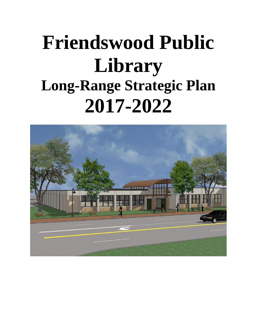# **Friendswood Public Library Long-Range Strategic Plan 2017-2022**

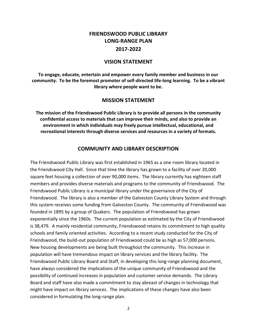# **FRIENDSWOOD PUBLIC LIBRARY LONG-RANGE PLAN 2017-2022**

#### **VISION STATEMENT**

**To engage, educate, entertain and empower every family member and business in our community. To be the foremost promoter of self-directed life-long learning. To be a vibrant library where people want to be.**

#### **MISSION STATEMENT**

**The mission of the Friendswood Public Library is to provide all persons in the community confidential access to materials that can improve their minds, and also to provide an environment in which individuals may freely pursue intellectual, educational, and recreational interests through diverse services and resources in a variety of formats.**

#### **COMMUNITY AND LIBRARY DESCRIPTION**

The Friendswood Public Library was first established in 1965 as a one-room library located in the Friendswood City Hall. Since that time the library has grown to a facility of over 20,000 square feet housing a collection of over 90,000 items. The library currently has eighteen staff members and provides diverse materials and programs to the community of Friendswood. The Friendswood Public Library is a municipal library under the governance of the City of Friendswood. The library is also a member of the Galveston County Library System and through this system receives some funding from Galveston County. The community of Friendswood was founded in 1895 by a group of Quakers. The population of Friendswood has grown exponentially since the 1960s. The current population as estimated by the City of Friendswood is 38,479. A mainly residential community, Friendswood retains its commitment to high quality schools and family oriented activities. According to a recent study conducted for the City of Friendswood, the build-out population of Friendswood could be as high as 57,000 persons. New housing developments are being built throughout the community. This increase in population will have tremendous impact on library services and the library facility. The Friendswood Public Library Board and Staff, in developing this long-range planning document, have always considered the implications of the unique community of Friendswood and the possibility of continued increases in population and customer service demands. The Library Board and staff have also made a commitment to stay abreast of changes in technology that might have impact on library services. The implications of these changes have also been considered in formulating the long-range plan.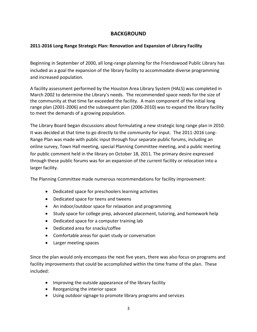#### **BACKGROUND**

#### **2011-2016 Long Range Strategic Plan: Renovation and Expansion of Library Facility**

Beginning in September of 2000, all long-range planning for the Friendswood Public Library has included as a goal the expansion of the library facility to accommodate diverse programming and increased population.

A facility assessment performed by the Houston Area Library System (HALS) was completed in March 2002 to determine the Library's needs. The recommended space needs for the size of the community at that time far exceeded the facility. A main component of the initial long range plan (2001-2006) and the subsequent plan (2006-2010) was to expand the library facility to meet the demands of a growing population.

The Library Board began discussions about formulating a new strategic long range plan in 2010. It was decided at that time to go directly to the community for input. The 2011-2016 Long-Range Plan was made with public input through four separate public forums, including an online survey, Town Hall meeting, special Planning Committee meeting, and a public meeting for public comment held in the library on October 18, 2011. The primary desire expressed through these public forums was for an expansion of the current facility or relocation into a larger facility.

The Planning Committee made numerous recommendations for facility improvement:

- Dedicated space for preschoolers learning activities
- Dedicated space for teens and tweens
- An indoor/outdoor space for relaxation and programming
- Study space for college prep, advanced placement, tutoring, and homework help
- Dedicated space for a computer training lab
- Dedicated area for snacks/coffee
- Comfortable areas for quiet study or conversation
- Larger meeting spaces

Since the plan would only encompass the next five years, there was also focus on programs and facility improvements that could be accomplished within the time frame of the plan. These included:

- Improving the outside appearance of the library facility
- Reorganizing the interior space
- Using outdoor signage to promote library programs and services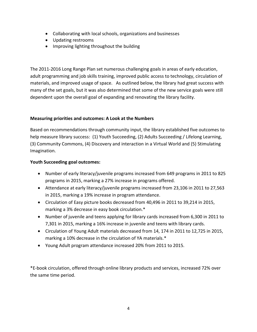- Collaborating with local schools, organizations and businesses
- Updating restrooms
- Improving lighting throughout the building

The 2011-2016 Long Range Plan set numerous challenging goals in areas of early education, adult programming and job skills training, improved public access to technology, circulation of materials, and improved usage of space. As outlined below, the library had great success with many of the set goals, but it was also determined that some of the new service goals were still dependent upon the overall goal of expanding and renovating the library facility.

#### **Measuring priorities and outcomes: A Look at the Numbers**

Based on recommendations through community input, the library established five outcomes to help measure library success: (1) Youth Succeeding, (2) Adults Succeeding / Lifelong Learning, (3) Community Commons, (4) Discovery and interaction in a Virtual World and (5) Stimulating Imagination.

#### **Youth Succeeding goal outcomes:**

- Number of early literacy/juvenile programs increased from 649 programs in 2011 to 825 programs in 2015, marking a 27% increase in programs offered.
- Attendance at early literacy/juvenile programs increased from 23,106 in 2011 to 27,563 in 2015, marking a 19% increase in program attendance.
- Circulation of Easy picture books decreased from 40,496 in 2011 to 39,214 in 2015, marking a 3% decrease in easy book circulation.\*
- Number of juvenile and teens applying for library cards increased from 6,300 in 2011 to 7,301 in 2015, marking a 16% increase in juvenile and teens with library cards.
- Circulation of Young Adult materials decreased from 14, 174 in 2011 to 12,725 in 2015, marking a 10% decrease in the circulation of YA materials.\*
- Young Adult program attendance increased 20% from 2011 to 2015.

\*E-book circulation, offered through online library products and services, increased 72% over the same time period.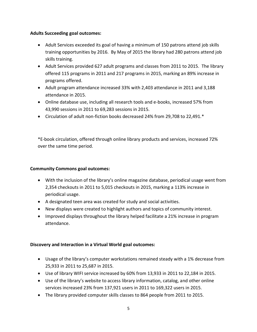#### **Adults Succeeding goal outcomes:**

- Adult Services exceeded its goal of having a minimum of 150 patrons attend job skills training opportunities by 2016. By May of 2015 the library had 280 patrons attend job skills training.
- Adult Services provided 627 adult programs and classes from 2011 to 2015. The library offered 115 programs in 2011 and 217 programs in 2015, marking an 89% increase in programs offered.
- Adult program attendance increased 33% with 2,403 attendance in 2011 and 3,188 attendance in 2015.
- Online database use, including all research tools and e-books, increased 57% from 43,990 sessions in 2011 to 69,283 sessions in 2015.
- Circulation of adult non-fiction books decreased 24% from 29,708 to 22,491.\*

\*E-book circulation, offered through online library products and services, increased 72% over the same time period.

#### **Community Commons goal outcomes:**

- With the inclusion of the library's online magazine database, periodical usage went from 2,354 checkouts in 2011 to 5,015 checkouts in 2015, marking a 113% increase in periodical usage.
- A designated teen area was created for study and social activities.
- New displays were created to highlight authors and topics of community interest.
- Improved displays throughout the library helped facilitate a 21% increase in program attendance.

#### **Discovery and Interaction in a Virtual World goal outcomes:**

- Usage of the library's computer workstations remained steady with a 1% decrease from 25,933 in 2011 to 25,687 in 2015.
- Use of library WIFI service increased by 60% from 13,933 in 2011 to 22,184 in 2015.
- Use of the library's website to access library information, catalog, and other online services increased 23% from 137,921 users in 2011 to 169,322 users in 2015.
- The library provided computer skills classes to 864 people from 2011 to 2015.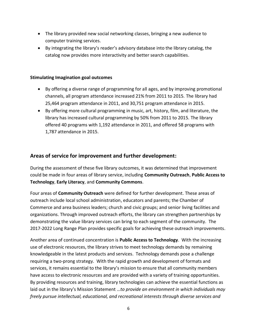- The library provided new social networking classes, bringing a new audience to computer training services.
- By integrating the library's reader's advisory database into the library catalog, the catalog now provides more interactivity and better search capabilities.

#### **Stimulating Imagination goal outcomes**

- By offering a diverse range of programming for all ages, and by improving promotional channels, all program attendance increased 21% from 2011 to 2015. The library had 25,464 program attendance in 2011, and 30,751 program attendance in 2015.
- By offering more cultural programming in music, art, history, film, and literature, the library has increased cultural programming by 50% from 2011 to 2015. The library offered 40 programs with 1,192 attendance in 2011, and offered 58 programs with 1,787 attendance in 2015.

#### **Areas of service for improvement and further development:**

During the assessment of these five library outcomes, it was determined that improvement could be made in four areas of library service, including **Community Outreach**, **Public Access to Technology**, **Early Literacy**, and **Community Commons**.

Four areas of **Community Outreach** were defined for further development. These areas of outreach include local school administration, educators and parents; the Chamber of Commerce and area business leaders; church and civic groups; and senior living facilities and organizations. Through improved outreach efforts, the library can strengthen partnerships by demonstrating the value library services can bring to each segment of the community. The 2017-2022 Long Range Plan provides specific goals for achieving these outreach improvements.

Another area of continued concentration is **Public Access to Technology**. With the increasing use of electronic resources, the library strives to meet technology demands by remaining knowledgeable in the latest products and services. Technology demands pose a challenge requiring a two-prong strategy. With the rapid growth and development of formats and services, it remains essential to the library's mission to ensure that all community members have access to electronic resources and are provided with a variety of training opportunities. By providing resources and training, library technologies can achieve the essential functions as laid out in the library's Mission Statement …*to provide an environment in which individuals may freely pursue intellectual, educational, and recreational interests through diverse services and*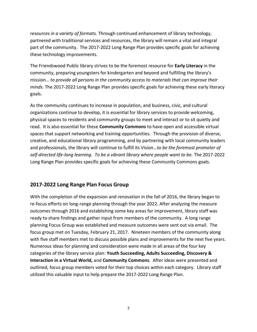*resources in a variety of formats.* Through continued enhancement of library technology, partnered with traditional services and resources, the library will remain a vital and integral part of the community. The 2017-2022 Long Range Plan provides specific goals for achieving these technology improvements.

The Friendswood Public library strives to be the foremost resource for **Early Literacy** in the community, preparing youngsters for kindergarten and beyond and fulfilling the library's mission… *to provide all persons in the community access to materials that can improve their minds*. The 2017-2022 Long Range Plan provides specific goals for achieving these early literacy goals.

As the community continues to increase in population, and business, civic, and cultural organizations continue to develop, it is essential for library services to provide welcoming, physical spaces to residents and community groups to meet and interact or to sit quietly and read. It is also essential for these **Community Commons** to have open and accessible virtual spaces that support networking and training opportunities. Through the provision of diverse, creative, and educational library programming, and by partnering with local community leaders and professionals, the library will continue to fulfill its Vision…*to be the foremost promoter of self-directed life-long learning. To be a vibrant library where people want to be.* The 2017-2022 Long Range Plan provides specific goals for achieving these Community Commons goals.

#### **2017-2022 Long Range Plan Focus Group**

With the completion of the expansion and renovation in the fall of 2016, the library began to re-focus efforts on long-range planning through the year 2022. After analyzing the measure outcomes through 2016 and establishing some key areas for improvement, library staff was ready to share findings and gather input from members of the community. A long range planning Focus Group was established and measure outcomes were sent out via email. The focus group met on Tuesday, February 21, 2017. Nineteen members of the community along with five staff members met to discuss possible plans and improvements for the next five years. Numerous ideas for planning and consideration were made in all areas of the four key categories of the library service plan: **Youth Succeeding, Adults Succeeding, Discovery & Interaction in a Virtual World,** and **Community Commons**. After ideas were presented and outlined, focus group members voted for their top choices within each category. Library staff utilized this valuable input to help prepare the 2017-2022 Long Range Plan.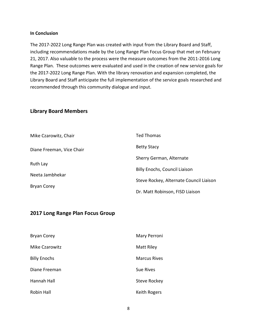#### **In Conclusion**

The 2017-2022 Long Range Plan was created with input from the Library Board and Staff, including recommendations made by the Long Range Plan Focus Group that met on February 21, 2017. Also valuable to the process were the measure outcomes from the 2011-2016 Long Range Plan. These outcomes were evaluated and used in the creation of new service goals for the 2017-2022 Long Range Plan. With the library renovation and expansion completed, the Library Board and Staff anticipate the full implementation of the service goals researched and recommended through this community dialogue and input.

#### **Library Board Members**

| Mike Czarowitz, Chair     | <b>Ted Thomas</b>                       |
|---------------------------|-----------------------------------------|
| Diane Freeman, Vice Chair | <b>Betty Stacy</b>                      |
| Ruth Lay                  | Sherry German, Alternate                |
|                           | <b>Billy Enochs, Council Liaison</b>    |
| Neeta Jambhekar           | Steve Rockey, Alternate Council Liaison |
| <b>Bryan Corey</b>        | Dr. Matt Robinson, FISD Liaison         |

#### **2017 Long Range Plan Focus Group**

| <b>Bryan Corey</b>  | Mary Perroni        |
|---------------------|---------------------|
| Mike Czarowitz      | Matt Riley          |
| <b>Billy Enochs</b> | <b>Marcus Rives</b> |
| Diane Freeman       | Sue Rives           |
| Hannah Hall         | <b>Steve Rockey</b> |
| <b>Robin Hall</b>   | <b>Keith Rogers</b> |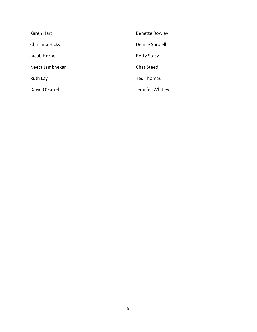| Karen Hart      | <b>Benette Rowley</b> |
|-----------------|-----------------------|
| Christina Hicks | Denise Spruiell       |
| Jacob Horner    | <b>Betty Stacy</b>    |
| Neeta Jambhekar | <b>Chat Steed</b>     |
| Ruth Lay        | <b>Ted Thomas</b>     |
| David O'Farrell | Jennifer Whitley      |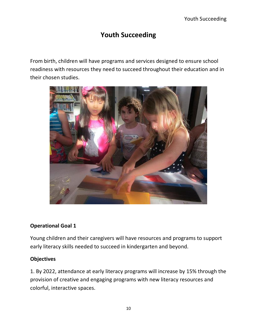# **Youth Succeeding**

From birth, children will have programs and services designed to ensure school readiness with resources they need to succeed throughout their education and in their chosen studies.



#### **Operational Goal 1**

Young children and their caregivers will have resources and programs to support early literacy skills needed to succeed in kindergarten and beyond.

#### **Objectives**

1. By 2022, attendance at early literacy programs will increase by 15% through the provision of creative and engaging programs with new literacy resources and colorful, interactive spaces.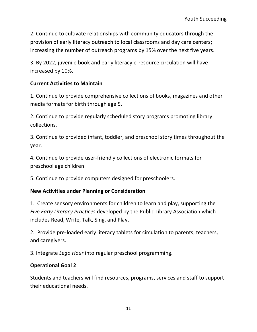2. Continue to cultivate relationships with community educators through the provision of early literacy outreach to local classrooms and day care centers; increasing the number of outreach programs by 15% over the next five years.

3. By 2022, juvenile book and early literacy e-resource circulation will have increased by 10%.

## **Current Activities to Maintain**

1. Continue to provide comprehensive collections of books, magazines and other media formats for birth through age 5.

2. Continue to provide regularly scheduled story programs promoting library collections.

3. Continue to provided infant, toddler, and preschool story times throughout the year.

4. Continue to provide user-friendly collections of electronic formats for preschool age children.

5. Continue to provide computers designed for preschoolers.

#### **New Activities under Planning or Consideration**

1. Create sensory environments for children to learn and play, supporting the *Five Early Literacy Practices* developed by the Public Library Association which includes Read, Write, Talk, Sing, and Play.

2. Provide pre-loaded early literacy tablets for circulation to parents, teachers, and caregivers.

3. Integrate *Lego Hour* into regular preschool programming.

# **Operational Goal 2**

Students and teachers will find resources, programs, services and staff to support their educational needs.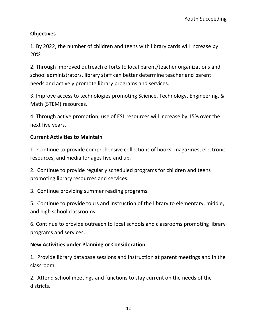1. By 2022, the number of children and teens with library cards will increase by 20%.

2. Through improved outreach efforts to local parent/teacher organizations and school administrators, library staff can better determine teacher and parent needs and actively promote library programs and services.

3. Improve access to technologies promoting Science, Technology, Engineering, & Math (STEM) resources.

4. Through active promotion, use of ESL resources will increase by 15% over the next five years.

# **Current Activities to Maintain**

1. Continue to provide comprehensive collections of books, magazines, electronic resources, and media for ages five and up.

2. Continue to provide regularly scheduled programs for children and teens promoting library resources and services.

3. Continue providing summer reading programs.

5. Continue to provide tours and instruction of the library to elementary, middle, and high school classrooms.

6. Continue to provide outreach to local schools and classrooms promoting library programs and services.

# **New Activities under Planning or Consideration**

1. Provide library database sessions and instruction at parent meetings and in the classroom.

2. Attend school meetings and functions to stay current on the needs of the districts.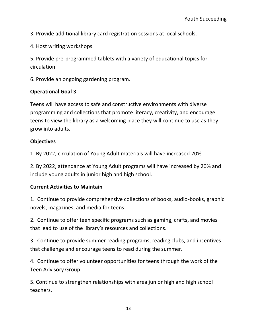3. Provide additional library card registration sessions at local schools.

4. Host writing workshops.

5. Provide pre-programmed tablets with a variety of educational topics for circulation.

6. Provide an ongoing gardening program.

#### **Operational Goal 3**

Teens will have access to safe and constructive environments with diverse programming and collections that promote literacy, creativity, and encourage teens to view the library as a welcoming place they will continue to use as they grow into adults.

#### **Objectives**

1. By 2022, circulation of Young Adult materials will have increased 20%.

2. By 2022, attendance at Young Adult programs will have increased by 20% and include young adults in junior high and high school.

#### **Current Activities to Maintain**

1. Continue to provide comprehensive collections of books, audio-books, graphic novels, magazines, and media for teens.

2. Continue to offer teen specific programs such as gaming, crafts, and movies that lead to use of the library's resources and collections.

3. Continue to provide summer reading programs, reading clubs, and incentives that challenge and encourage teens to read during the summer.

4. Continue to offer volunteer opportunities for teens through the work of the Teen Advisory Group.

5. Continue to strengthen relationships with area junior high and high school teachers.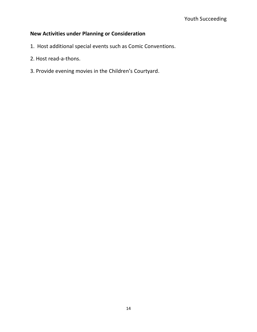# **New Activities under Planning or Consideration**

- 1. Host additional special events such as Comic Conventions.
- 2. Host read-a-thons.
- 3. Provide evening movies in the Children's Courtyard.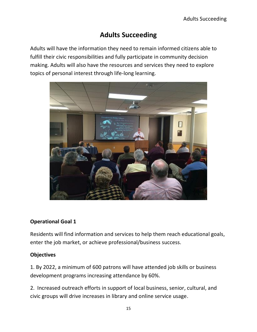# **Adults Succeeding**

Adults will have the information they need to remain informed citizens able to fulfill their civic responsibilities and fully participate in community decision making. Adults will also have the resources and services they need to explore topics of personal interest through life-long learning.



# **Operational Goal 1**

Residents will find information and services to help them reach educational goals, enter the job market, or achieve professional/business success.

# **Objectives**

1. By 2022, a minimum of 600 patrons will have attended job skills or business development programs increasing attendance by 60%.

2. Increased outreach efforts in support of local business, senior, cultural, and civic groups will drive increases in library and online service usage.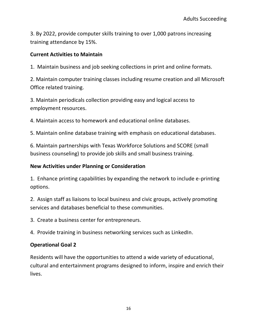3. By 2022, provide computer skills training to over 1,000 patrons increasing training attendance by 15%.

#### **Current Activities to Maintain**

1. Maintain business and job seeking collections in print and online formats.

2. Maintain computer training classes including resume creation and all Microsoft Office related training.

3. Maintain periodicals collection providing easy and logical access to employment resources.

4. Maintain access to homework and educational online databases.

5. Maintain online database training with emphasis on educational databases.

6. Maintain partnerships with Texas Workforce Solutions and SCORE (small business counseling) to provide job skills and small business training.

#### **New Activities under Planning or Consideration**

1. Enhance printing capabilities by expanding the network to include e-printing options.

2. Assign staff as liaisons to local business and civic groups, actively promoting services and databases beneficial to these communities.

3. Create a business center for entrepreneurs.

4. Provide training in business networking services such as LinkedIn.

# **Operational Goal 2**

Residents will have the opportunities to attend a wide variety of educational, cultural and entertainment programs designed to inform, inspire and enrich their lives.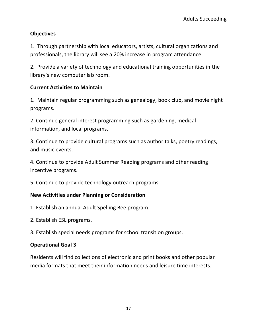1. Through partnership with local educators, artists, cultural organizations and professionals, the library will see a 20% increase in program attendance.

2. Provide a variety of technology and educational training opportunities in the library's new computer lab room.

#### **Current Activities to Maintain**

1. Maintain regular programming such as genealogy, book club, and movie night programs.

2. Continue general interest programming such as gardening, medical information, and local programs.

3. Continue to provide cultural programs such as author talks, poetry readings, and music events.

4. Continue to provide Adult Summer Reading programs and other reading incentive programs.

5. Continue to provide technology outreach programs.

#### **New Activities under Planning or Consideration**

- 1. Establish an annual Adult Spelling Bee program.
- 2. Establish ESL programs.
- 3. Establish special needs programs for school transition groups.

#### **Operational Goal 3**

Residents will find collections of electronic and print books and other popular media formats that meet their information needs and leisure time interests.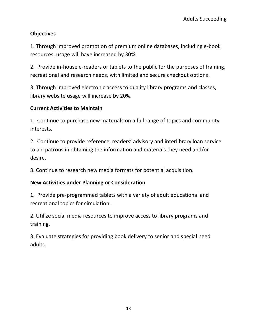1. Through improved promotion of premium online databases, including e-book resources, usage will have increased by 30%.

2. Provide in-house e-readers or tablets to the public for the purposes of training, recreational and research needs, with limited and secure checkout options.

3. Through improved electronic access to quality library programs and classes, library website usage will increase by 20%.

### **Current Activities to Maintain**

1. Continue to purchase new materials on a full range of topics and community interests.

2. Continue to provide reference, readers' advisory and interlibrary loan service to aid patrons in obtaining the information and materials they need and/or desire.

3. Continue to research new media formats for potential acquisition.

#### **New Activities under Planning or Consideration**

1. Provide pre-programmed tablets with a variety of adult educational and recreational topics for circulation.

2. Utilize social media resources to improve access to library programs and training.

3. Evaluate strategies for providing book delivery to senior and special need adults.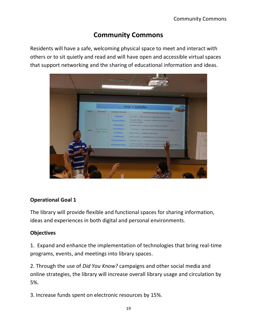# **Community Commons**

Residents will have a safe, welcoming physical space to meet and interact with others or to sit quietly and read and will have open and accessible virtual spaces that support networking and the sharing of educational information and ideas.



# **Operational Goal 1**

The library will provide flexible and functional spaces for sharing information, ideas and experiences in both digital and personal environments.

# **Objectives**

1. Expand and enhance the implementation of technologies that bring real-time programs, events, and meetings into library spaces.

2. Through the use of *Did You Know?* campaigns and other social media and online strategies, the library will increase overall library usage and circulation by 5%.

3. Increase funds spent on electronic resources by 15%.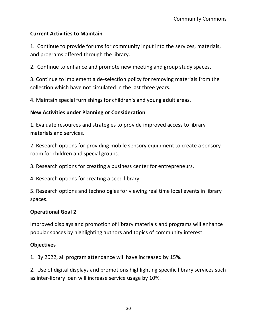## **Current Activities to Maintain**

1. Continue to provide forums for community input into the services, materials, and programs offered through the library.

2. Continue to enhance and promote new meeting and group study spaces.

3. Continue to implement a de-selection policy for removing materials from the collection which have not circulated in the last three years.

4. Maintain special furnishings for children's and young adult areas.

#### **New Activities under Planning or Consideration**

1. Evaluate resources and strategies to provide improved access to library materials and services.

2. Research options for providing mobile sensory equipment to create a sensory room for children and special groups.

3. Research options for creating a business center for entrepreneurs.

4. Research options for creating a seed library.

5. Research options and technologies for viewing real time local events in library spaces.

#### **Operational Goal 2**

Improved displays and promotion of library materials and programs will enhance popular spaces by highlighting authors and topics of community interest.

#### **Objectives**

1. By 2022, all program attendance will have increased by 15%.

2. Use of digital displays and promotions highlighting specific library services such as inter-library loan will increase service usage by 10%.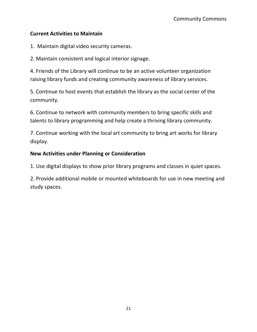#### **Current Activities to Maintain**

1. Maintain digital video security cameras.

2. Maintain consistent and logical interior signage.

4. Friends of the Library will continue to be an active volunteer organization raising library funds and creating community awareness of library services.

5. Continue to host events that establish the library as the social center of the community.

6. Continue to network with community members to bring specific skills and talents to library programming and help create a thriving library community.

7. Continue working with the local art community to bring art works for library display.

#### **New Activities under Planning or Consideration**

1. Use digital displays to show prior library programs and classes in quiet spaces.

2. Provide additional mobile or mounted whiteboards for use in new meeting and study spaces.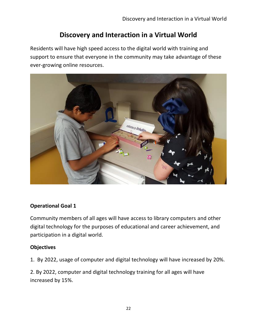# **Discovery and Interaction in a Virtual World**

Residents will have high speed access to the digital world with training and support to ensure that everyone in the community may take advantage of these ever-growing online resources.



# **Operational Goal 1**

Community members of all ages will have access to library computers and other digital technology for the purposes of educational and career achievement, and participation in a digital world.

#### **Objectives**

1. By 2022, usage of computer and digital technology will have increased by 20%.

2. By 2022, computer and digital technology training for all ages will have increased by 15%.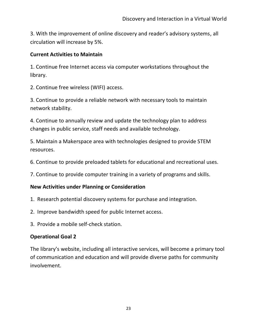3. With the improvement of online discovery and reader's advisory systems, all circulation will increase by 5%.

#### **Current Activities to Maintain**

1. Continue free Internet access via computer workstations throughout the library.

2. Continue free wireless (WIFI) access.

3. Continue to provide a reliable network with necessary tools to maintain network stability.

4. Continue to annually review and update the technology plan to address changes in public service, staff needs and available technology.

5. Maintain a Makerspace area with technologies designed to provide STEM resources.

6. Continue to provide preloaded tablets for educational and recreational uses.

7. Continue to provide computer training in a variety of programs and skills.

# **New Activities under Planning or Consideration**

- 1. Research potential discovery systems for purchase and integration.
- 2. Improve bandwidth speed for public Internet access.
- 3. Provide a mobile self-check station.

# **Operational Goal 2**

The library's website, including all interactive services, will become a primary tool of communication and education and will provide diverse paths for community involvement.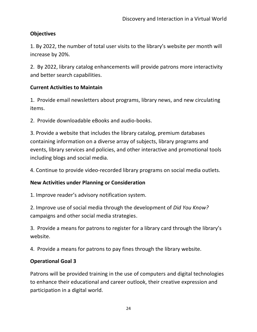1. By 2022, the number of total user visits to the library's website per month will increase by 20%.

2. By 2022, library catalog enhancements will provide patrons more interactivity and better search capabilities.

#### **Current Activities to Maintain**

1. Provide email newsletters about programs, library news, and new circulating items.

2. Provide downloadable eBooks and audio-books.

3. Provide a website that includes the library catalog, premium databases containing information on a diverse array of subjects, library programs and events, library services and policies, and other interactive and promotional tools including blogs and social media.

4. Continue to provide video-recorded library programs on social media outlets.

#### **New Activities under Planning or Consideration**

1. Improve reader's advisory notification system.

2. Improve use of social media through the development of *Did You Know?* campaigns and other social media strategies.

3. Provide a means for patrons to register for a library card through the library's website.

4. Provide a means for patrons to pay fines through the library website.

#### **Operational Goal 3**

Patrons will be provided training in the use of computers and digital technologies to enhance their educational and career outlook, their creative expression and participation in a digital world.